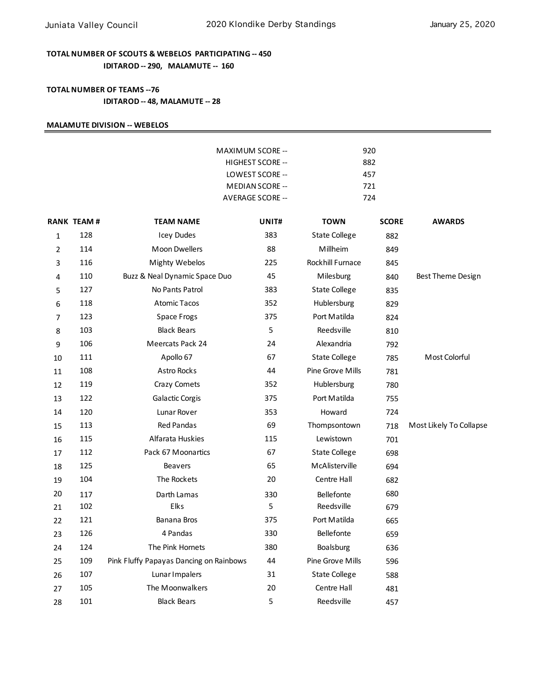## **TOTAL NUMBER OF SCOUTS & WEBELOS PARTICIPATING -- 450 IDITAROD -- 290, MALAMUTE -- 160**

### **TOTAL NUMBER OF TEAMS --76 IDITAROD -- 48, MALAMUTE -- 28**

#### **MALAMUTE DIVISION -- WEBELOS**

|    |                   |                                         | MAXIMUM SCORE --<br>HIGHEST SCORE --<br>LOWEST SCORE --<br>MEDIAN SCORE --<br><b>AVERAGE SCORE --</b> | 920<br>882<br>457<br>721<br>724 |              |                         |
|----|-------------------|-----------------------------------------|-------------------------------------------------------------------------------------------------------|---------------------------------|--------------|-------------------------|
|    | <b>RANK TEAM#</b> | <b>TEAM NAME</b>                        | UNIT#                                                                                                 | <b>TOWN</b>                     | <b>SCORE</b> | <b>AWARDS</b>           |
| 1  | 128               | <b>Icey Dudes</b>                       | 383                                                                                                   | <b>State College</b>            | 882          |                         |
| 2  | 114               | <b>Moon Dwellers</b>                    | 88                                                                                                    | Millheim                        | 849          |                         |
| 3  | 116               | <b>Mighty Webelos</b>                   | 225                                                                                                   | Rockhill Furnace                | 845          |                         |
| 4  | 110               | Buzz & Neal Dynamic Space Duo           | 45                                                                                                    | Milesburg                       | 840          | Best Theme Design       |
| 5  | 127               | No Pants Patrol                         | 383                                                                                                   | <b>State College</b>            | 835          |                         |
| 6  | 118               | <b>Atomic Tacos</b>                     | 352                                                                                                   | Hublersburg                     | 829          |                         |
| 7  | 123               | Space Frogs                             | 375                                                                                                   | Port Matilda                    | 824          |                         |
| 8  | 103               | <b>Black Bears</b>                      | 5                                                                                                     | Reedsville                      | 810          |                         |
| 9  | 106               | Meercats Pack 24                        | 24                                                                                                    | Alexandria                      | 792          |                         |
| 10 | 111               | Apollo 67                               | 67                                                                                                    | <b>State College</b>            | 785          | Most Colorful           |
| 11 | 108               | <b>Astro Rocks</b>                      | 44                                                                                                    | Pine Grove Mills                | 781          |                         |
| 12 | 119               | Crazy Comets                            | 352                                                                                                   | Hublersburg                     | 780          |                         |
| 13 | 122               | Galactic Corgis                         | 375                                                                                                   | Port Matilda                    | 755          |                         |
| 14 | 120               | Lunar Rover                             | 353                                                                                                   | Howard                          | 724          |                         |
| 15 | 113               | <b>Red Pandas</b>                       | 69                                                                                                    | Thompsontown                    | 718          | Most Likely To Collapse |
| 16 | 115               | Alfarata Huskies                        | 115                                                                                                   | Lewistown                       | 701          |                         |
| 17 | 112               | Pack 67 Moonartics                      | 67                                                                                                    | <b>State College</b>            | 698          |                         |
| 18 | 125               | <b>Beavers</b>                          | 65                                                                                                    | McAlisterville                  | 694          |                         |
| 19 | 104               | The Rockets                             | 20                                                                                                    | Centre Hall                     | 682          |                         |
| 20 | 117               | Darth Lamas                             | 330                                                                                                   | Bellefonte                      | 680          |                         |
| 21 | 102               | Elks                                    | 5                                                                                                     | Reedsville                      | 679          |                         |
| 22 | 121               | Banana Bros                             | 375                                                                                                   | Port Matilda                    | 665          |                         |
| 23 | 126               | 4 Pandas                                | 330                                                                                                   | <b>Bellefonte</b>               | 659          |                         |
| 24 | 124               | The Pink Hornets                        | 380                                                                                                   | Boalsburg                       | 636          |                         |
| 25 | 109               | Pink Fluffy Papayas Dancing on Rainbows | 44                                                                                                    | Pine Grove Mills                | 596          |                         |
| 26 | 107               | Lunar Impalers                          | 31                                                                                                    | <b>State College</b>            | 588          |                         |
| 27 | 105               | The Moonwalkers                         | 20                                                                                                    | Centre Hall                     | 481          |                         |
| 28 | 101               | <b>Black Bears</b>                      | 5                                                                                                     | Reedsville                      | 457          |                         |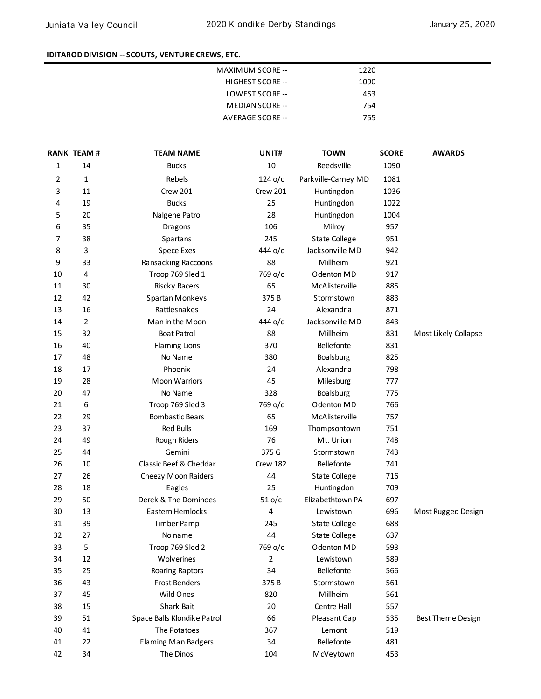## **IDITAROD DIVISION -- SCOUTS, VENTURE CREWS, ETC.**

| 1220 |
|------|
| 1090 |
| 453  |
| 754  |
| 755  |
|      |

|    | <b>RANK TEAM#</b> | <b>TEAM NAME</b>            | UNIT#     | <b>TOWN</b>          | <b>SCORE</b> | <b>AWARDS</b>        |
|----|-------------------|-----------------------------|-----------|----------------------|--------------|----------------------|
| 1  | 14                | <b>Bucks</b>                | 10        | Reedsville           | 1090         |                      |
| 2  | 1                 | Rebels                      | $124$ o/c | Parkville-Carney MD  | 1081         |                      |
| 3  | 11                | Crew 201                    | Crew 201  | Huntingdon           | 1036         |                      |
| 4  | 19                | <b>Bucks</b>                | 25        | Huntingdon           | 1022         |                      |
| 5  | 20                | Nalgene Patrol              | 28        | Huntingdon           | 1004         |                      |
| 6  | 35                | Dragons                     | 106       | Milroy               | 957          |                      |
| 7  | 38                | Spartans                    | 245       | <b>State College</b> | 951          |                      |
| 8  | 3                 | <b>Spece Exes</b>           | 444 o/c   | Jacksonville MD      | 942          |                      |
| 9  | 33                | Ransacking Raccoons         | 88        | Millheim             | 921          |                      |
| 10 | 4                 | Troop 769 Sled 1            | 769 o/c   | Odenton MD           | 917          |                      |
| 11 | 30                | <b>Riscky Racers</b>        | 65        | McAlisterville       | 885          |                      |
| 12 | 42                | Spartan Monkeys             | 375B      | Stormstown           | 883          |                      |
| 13 | 16                | Rattlesnakes                | 24        | Alexandria           | 871          |                      |
| 14 | $\overline{2}$    | Man in the Moon             | 444 о/с   | Jacksonville MD      | 843          |                      |
| 15 | 32                | <b>Boat Patrol</b>          | 88        | Millheim             | 831          | Most Likely Collapse |
| 16 | 40                | <b>Flaming Lions</b>        | 370       | Bellefonte           | 831          |                      |
| 17 | 48                | No Name                     | 380       | Boalsburg            | 825          |                      |
| 18 | 17                | Phoenix                     | 24        | Alexandria           | 798          |                      |
| 19 | 28                | <b>Moon Warriors</b>        | 45        | Milesburg            | 777          |                      |
| 20 | 47                | No Name                     | 328       | Boalsburg            | 775          |                      |
| 21 | 6                 | Troop 769 Sled 3            | 769 o/c   | Odenton MD           | 766          |                      |
| 22 | 29                | <b>Bombastic Bears</b>      | 65        | McAlisterville       | 757          |                      |
| 23 | 37                | <b>Red Bulls</b>            | 169       | Thompsontown         | 751          |                      |
| 24 | 49                | Rough Riders                | 76        | Mt. Union            | 748          |                      |
| 25 | 44                | Gemini                      | 375 G     | Stormstown           | 743          |                      |
| 26 | 10                | Classic Beef & Cheddar      | Crew 182  | Bellefonte           | 741          |                      |
| 27 | 26                | Cheezy Moon Raiders         | 44        | <b>State College</b> | 716          |                      |
| 28 | 18                | Eagles                      | 25        | Huntingdon           | 709          |                      |
| 29 | 50                | Derek & The Dominoes        | $51$ o/c  | Elizabethtown PA     | 697          |                      |
| 30 | 13                | Eastern Hemlocks            | 4         | Lewistown            | 696          | Most Rugged Design   |
| 31 | 39                | <b>Timber Pamp</b>          | 245       | <b>State College</b> | 688          |                      |
| 32 | 27                | No name                     | 44        | <b>State College</b> | 637          |                      |
| 33 | 5                 | Troop 769 Sled 2            | 769 o/c   | Odenton MD           | 593          |                      |
| 34 | 12                | Wolverines                  | 2         | Lewistown            | 589          |                      |
| 35 | 25                | Roaring Raptors             | 34        | Bellefonte           | 566          |                      |
| 36 | 43                | <b>Frost Benders</b>        | 375 B     | Stormstown           | 561          |                      |
| 37 | 45                | Wild Ones                   | 820       | Millheim             | 561          |                      |
| 38 | 15                | Shark Bait                  | 20        | Centre Hall          | 557          |                      |
| 39 | 51                | Space Balls Klondike Patrol | 66        | Pleasant Gap         | 535          | Best Theme Design    |
| 40 | 41                | The Potatoes                | 367       | Lemont               | 519          |                      |
| 41 | 22                | <b>Flaming Man Badgers</b>  | 34        | Bellefonte           | 481          |                      |
| 42 | 34                | The Dinos                   | 104       | McVeytown            | 453          |                      |